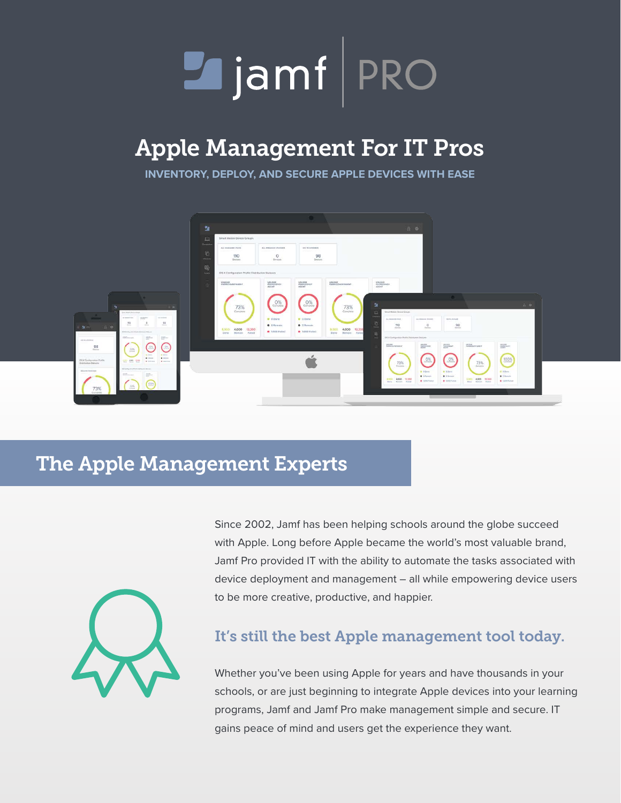

# Apple Management For IT Pros

**INVENTORY, DEPLOY, AND SECURE APPLE DEVICES WITH EASE**



# The Apple Management Experts



Since 2002, Jamf has been helping schools around the globe succeed with Apple. Long before Apple became the world's most valuable brand, Jamf Pro provided IT with the ability to automate the tasks associated with device deployment and management – all while empowering device users to be more creative, productive, and happier.

### It's still the best Apple management tool today.

Whether you've been using Apple for years and have thousands in your schools, or are just beginning to integrate Apple devices into your learning programs, Jamf and Jamf Pro make management simple and secure. IT gains peace of mind and users get the experience they want.